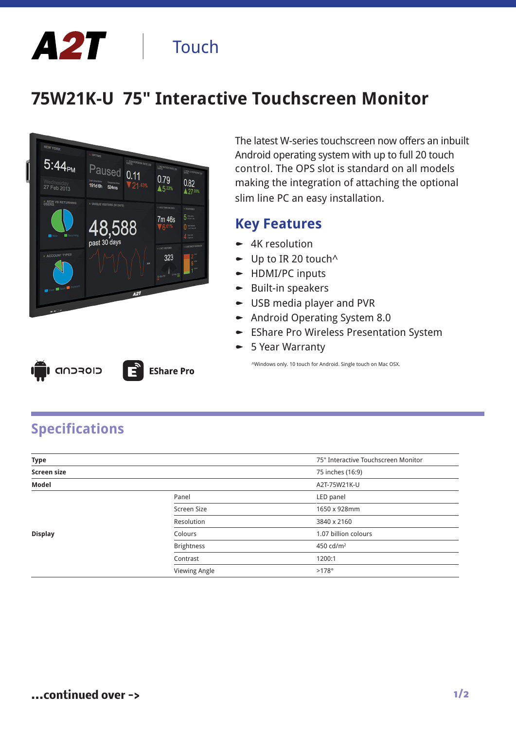# A2T | Touch

## **75W21K-U 75" Interactive Touchscreen Monitor**



**EShare Pro** 

The latest W-series touchscreen now offers an inbuilt Android operating system with up to full 20 touch control. The OPS slot is standard on all models making the integration of attaching the optional slim line PC an easy installation.

#### **Key Features**

- $\sim$  4K resolution
- $\bullet$  Up to IR 20 touch<sup> $\land$ </sup>
- $\blacktriangleright$  HDMI/PC inputs
- $\bullet$  Built-in speakers
- $\bullet$  USB media player and PVR
- $\blacktriangleright$  Android Operating System 8.0
- **-** EShare Pro Wireless Presentation System
- $\blacktriangleright$  5 Year Warranty

^Windows only. 10 touch for Android. Single touch on Mac OSX.

| п | LI GADROID |  |
|---|------------|--|
|   |            |  |

### **Specifications**

| <b>Type</b>        |                   | 75" Interactive Touchscreen Monitor |
|--------------------|-------------------|-------------------------------------|
| <b>Screen size</b> |                   | 75 inches (16:9)                    |
| Model              |                   | A2T-75W21K-U                        |
|                    | Panel             | LED panel                           |
|                    | Screen Size       | 1650 x 928mm                        |
|                    | Resolution        | 3840 x 2160                         |
| <b>Display</b>     | Colours           | 1.07 billion colours                |
|                    | <b>Brightness</b> | 450 cd/m <sup>2</sup>               |
|                    | Contrast          | 1200:1                              |
|                    | Viewing Angle     | $>178^\circ$                        |